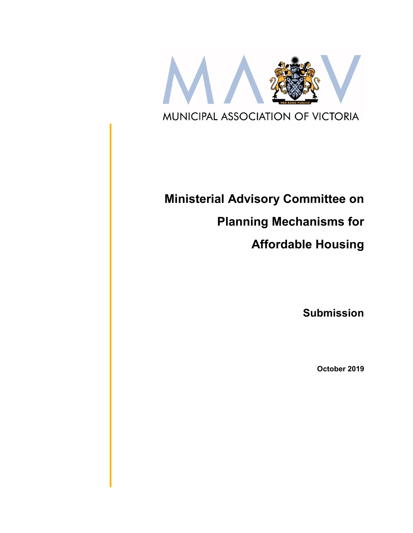

# **Ministerial Advisory Committee on**

# **Planning Mechanisms for**

# **Affordable Housing**

**Submission**

**October 2019**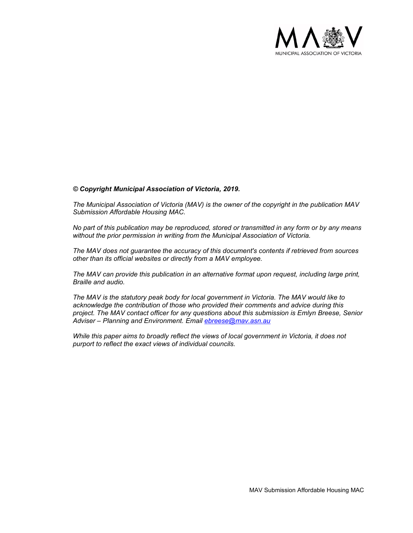

#### *© Copyright Municipal Association of Victoria, 2019.*

*The Municipal Association of Victoria (MAV) is the owner of the copyright in the publication MAV Submission Affordable Housing MAC.* 

*No part of this publication may be reproduced, stored or transmitted in any form or by any means without the prior permission in writing from the Municipal Association of Victoria.* 

*The MAV does not guarantee the accuracy of this document's contents if retrieved from sources other than its official websites or directly from a MAV employee.*

*The MAV can provide this publication in an alternative format upon request, including large print, Braille and audio.* 

*The MAV is the statutory peak body for local government in Victoria. The MAV would like to acknowledge the contribution of those who provided their comments and advice during this project. The MAV contact officer for any questions about this submission is Emlyn Breese, Senior Adviser – Planning and Environment. Email [ebreese@mav.asn.au](mailto:ebreese@mav.asn.au)*

*While this paper aims to broadly reflect the views of local government in Victoria, it does not purport to reflect the exact views of individual councils.*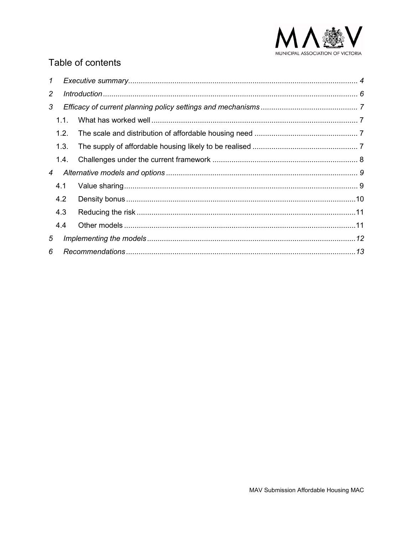

# Table of contents

| $\mathcal I$ |      |  |  |
|--------------|------|--|--|
| 2            |      |  |  |
| 3            |      |  |  |
|              | 1.1. |  |  |
|              | 1.2. |  |  |
|              | 1.3. |  |  |
|              | 1.4. |  |  |
| 4            |      |  |  |
|              | 4.1  |  |  |
|              | 4.2  |  |  |
|              | 4.3  |  |  |
|              | 4.4  |  |  |
| 5            |      |  |  |
| 6            |      |  |  |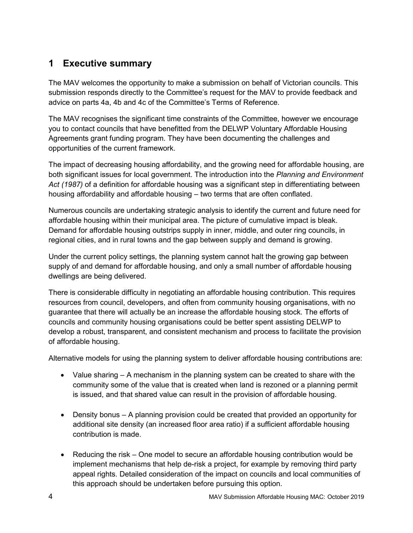# <span id="page-3-0"></span>**1 Executive summary**

The MAV welcomes the opportunity to make a submission on behalf of Victorian councils. This submission responds directly to the Committee's request for the MAV to provide feedback and advice on parts 4a, 4b and 4c of the Committee's Terms of Reference.

The MAV recognises the significant time constraints of the Committee, however we encourage you to contact councils that have benefitted from the DELWP Voluntary Affordable Housing Agreements grant funding program. They have been documenting the challenges and opportunities of the current framework.

The impact of decreasing housing affordability, and the growing need for affordable housing, are both significant issues for local government. The introduction into the *Planning and Environment Act (1987)* of a definition for affordable housing was a significant step in differentiating between housing affordability and affordable housing – two terms that are often conflated.

Numerous councils are undertaking strategic analysis to identify the current and future need for affordable housing within their municipal area. The picture of cumulative impact is bleak. Demand for affordable housing outstrips supply in inner, middle, and outer ring councils, in regional cities, and in rural towns and the gap between supply and demand is growing.

Under the current policy settings, the planning system cannot halt the growing gap between supply of and demand for affordable housing, and only a small number of affordable housing dwellings are being delivered.

There is considerable difficulty in negotiating an affordable housing contribution. This requires resources from council, developers, and often from community housing organisations, with no guarantee that there will actually be an increase the affordable housing stock. The efforts of councils and community housing organisations could be better spent assisting DELWP to develop a robust, transparent, and consistent mechanism and process to facilitate the provision of affordable housing.

Alternative models for using the planning system to deliver affordable housing contributions are:

- Value sharing A mechanism in the planning system can be created to share with the community some of the value that is created when land is rezoned or a planning permit is issued, and that shared value can result in the provision of affordable housing.
- Density bonus A planning provision could be created that provided an opportunity for additional site density (an increased floor area ratio) if a sufficient affordable housing contribution is made.
- Reducing the risk One model to secure an affordable housing contribution would be implement mechanisms that help de-risk a project, for example by removing third party appeal rights. Detailed consideration of the impact on councils and local communities of this approach should be undertaken before pursuing this option.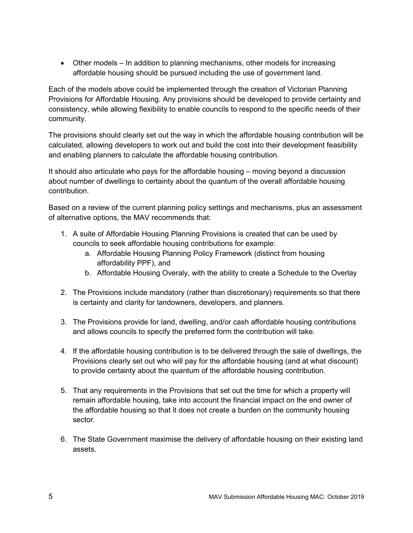<span id="page-4-0"></span>• Other models – In addition to planning mechanisms, other models for increasing affordable housing should be pursued including the use of government land.

Each of the models above could be implemented through the creation of Victorian Planning Provisions for Affordable Housing. Any provisions should be developed to provide certainty and consistency, while allowing flexibility to enable councils to respond to the specific needs of their community.

The provisions should clearly set out the way in which the affordable housing contribution will be calculated, allowing developers to work out and build the cost into their development feasibility and enabling planners to calculate the affordable housing contribution.

It should also articulate who pays for the affordable housing – moving beyond a discussion about number of dwellings to certainty about the quantum of the overall affordable housing contribution.

Based on a review of the current planning policy settings and mechanisms, plus an assessment of alternative options, the MAV recommends that:

- 1. A suite of Affordable Housing Planning Provisions is created that can be used by councils to seek affordable housing contributions for example:
	- a. Affordable Housing Planning Policy Framework (distinct from housing affordability PPF), and
	- b. Affordable Housing Overaly, with the ability to create a Schedule to the Overlay
- 2. The Provisions include mandatory (rather than discretionary) requirements so that there is certainty and clarity for landowners, developers, and planners.
- 3. The Provisions provide for land, dwelling, and/or cash affordable housing contributions and allows councils to specify the preferred form the contribution will take.
- 4. If the affordable housing contribution is to be delivered through the sale of dwellings, the Provisions clearly set out who will pay for the affordable housing (and at what discount) to provide certainty about the quantum of the affordable housing contribution.
- 5. That any requirements in the Provisions that set out the time for which a property will remain affordable housing, take into account the financial impact on the end owner of the affordable housing so that it does not create a burden on the community housing sector.
- 6. The State Government maximise the delivery of affordable housing on their existing land assets.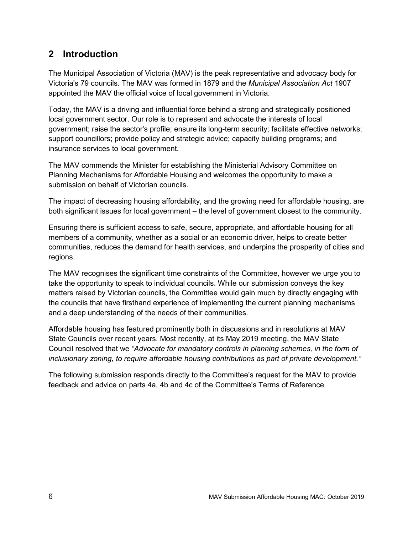# **2 Introduction**

The Municipal Association of Victoria (MAV) is the peak representative and advocacy body for Victoria's 79 councils. The MAV was formed in 1879 and the *Municipal Association Act* 1907 appointed the MAV the official voice of local government in Victoria.

Today, the MAV is a driving and influential force behind a strong and strategically positioned local government sector. Our role is to represent and advocate the interests of local government; raise the sector's profile; ensure its long-term security; facilitate effective networks; support councillors; provide policy and strategic advice; capacity building programs; and insurance services to local government.

The MAV commends the Minister for establishing the Ministerial Advisory Committee on Planning Mechanisms for Affordable Housing and welcomes the opportunity to make a submission on behalf of Victorian councils.

The impact of decreasing housing affordability, and the growing need for affordable housing, are both significant issues for local government – the level of government closest to the community.

Ensuring there is sufficient access to safe, secure, appropriate, and affordable housing for all members of a community, whether as a social or an economic driver, helps to create better communities, reduces the demand for health services, and underpins the prosperity of cities and regions.

The MAV recognises the significant time constraints of the Committee, however we urge you to take the opportunity to speak to individual councils. While our submission conveys the key matters raised by Victorian councils, the Committee would gain much by directly engaging with the councils that have firsthand experience of implementing the current planning mechanisms and a deep understanding of the needs of their communities.

Affordable housing has featured prominently both in discussions and in resolutions at MAV State Councils over recent years. Most recently, at its May 2019 meeting, the MAV State Council resolved that we *"Advocate for mandatory controls in planning schemes, in the form of inclusionary zoning, to require affordable housing contributions as part of private development."*

The following submission responds directly to the Committee's request for the MAV to provide feedback and advice on parts 4a, 4b and 4c of the Committee's Terms of Reference.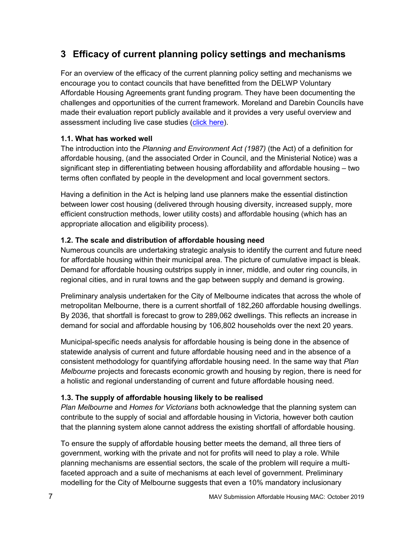# <span id="page-6-0"></span>**3 Efficacy of current planning policy settings and mechanisms**

For an overview of the efficacy of the current planning policy setting and mechanisms we encourage you to contact councils that have benefitted from the DELWP Voluntary Affordable Housing Agreements grant funding program. They have been documenting the challenges and opportunities of the current framework. Moreland and Darebin Councils have made their evaluation report publicly available and it provides a very useful overview and assessment including live case studies [\(click here\)](https://www.moreland.vic.gov.au/globalassets/areas/strategic-planning/affordable-housing-advisory-service-pilot-program-evaluation-report-updated-4-sept-2019.pdf).

#### <span id="page-6-1"></span>**1.1. What has worked well**

The introduction into the *Planning and Environment Act (1987)* (the Act) of a definition for affordable housing, (and the associated Order in Council, and the Ministerial Notice) was a significant step in differentiating between housing affordability and affordable housing – two terms often conflated by people in the development and local government sectors.

Having a definition in the Act is helping land use planners make the essential distinction between lower cost housing (delivered through housing diversity, increased supply, more efficient construction methods, lower utility costs) and affordable housing (which has an appropriate allocation and eligibility process).

#### <span id="page-6-2"></span>**1.2. The scale and distribution of affordable housing need**

Numerous councils are undertaking strategic analysis to identify the current and future need for affordable housing within their municipal area. The picture of cumulative impact is bleak. Demand for affordable housing outstrips supply in inner, middle, and outer ring councils, in regional cities, and in rural towns and the gap between supply and demand is growing.

Preliminary analysis undertaken for the City of Melbourne indicates that across the whole of metropolitan Melbourne, there is a current shortfall of 182,260 affordable housing dwellings. By 2036, that shortfall is forecast to grow to 289,062 dwellings. This reflects an increase in demand for social and affordable housing by 106,802 households over the next 20 years.

Municipal-specific needs analysis for affordable housing is being done in the absence of statewide analysis of current and future affordable housing need and in the absence of a consistent methodology for quantifying affordable housing need. In the same way that *Plan Melbourne* projects and forecasts economic growth and housing by region, there is need for a holistic and regional understanding of current and future affordable housing need.

#### <span id="page-6-3"></span>**1.3. The supply of affordable housing likely to be realised**

*Plan Melbourne* and *Homes for Victorians* both acknowledge that the planning system can contribute to the supply of social and affordable housing in Victoria, however both caution that the planning system alone cannot address the existing shortfall of affordable housing.

To ensure the supply of affordable housing better meets the demand, all three tiers of government, working with the private and not for profits will need to play a role. While planning mechanisms are essential sectors, the scale of the problem will require a multifaceted approach and a suite of mechanisms at each level of government. Preliminary modelling for the City of Melbourne suggests that even a 10% mandatory inclusionary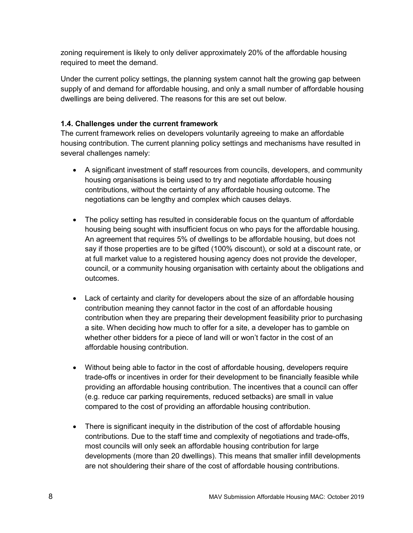zoning requirement is likely to only deliver approximately 20% of the affordable housing required to meet the demand.

Under the current policy settings, the planning system cannot halt the growing gap between supply of and demand for affordable housing, and only a small number of affordable housing dwellings are being delivered. The reasons for this are set out below.

#### <span id="page-7-0"></span>**1.4. Challenges under the current framework**

The current framework relies on developers voluntarily agreeing to make an affordable housing contribution. The current planning policy settings and mechanisms have resulted in several challenges namely:

- A significant investment of staff resources from councils, developers, and community housing organisations is being used to try and negotiate affordable housing contributions, without the certainty of any affordable housing outcome. The negotiations can be lengthy and complex which causes delays.
- The policy setting has resulted in considerable focus on the quantum of affordable housing being sought with insufficient focus on who pays for the affordable housing. An agreement that requires 5% of dwellings to be affordable housing, but does not say if those properties are to be gifted (100% discount), or sold at a discount rate, or at full market value to a registered housing agency does not provide the developer, council, or a community housing organisation with certainty about the obligations and outcomes.
- Lack of certainty and clarity for developers about the size of an affordable housing contribution meaning they cannot factor in the cost of an affordable housing contribution when they are preparing their development feasibility prior to purchasing a site. When deciding how much to offer for a site, a developer has to gamble on whether other bidders for a piece of land will or won't factor in the cost of an affordable housing contribution.
- Without being able to factor in the cost of affordable housing, developers require trade-offs or incentives in order for their development to be financially feasible while providing an affordable housing contribution. The incentives that a council can offer (e.g. reduce car parking requirements, reduced setbacks) are small in value compared to the cost of providing an affordable housing contribution.
- There is significant inequity in the distribution of the cost of affordable housing contributions. Due to the staff time and complexity of negotiations and trade-offs, most councils will only seek an affordable housing contribution for large developments (more than 20 dwellings). This means that smaller infill developments are not shouldering their share of the cost of affordable housing contributions.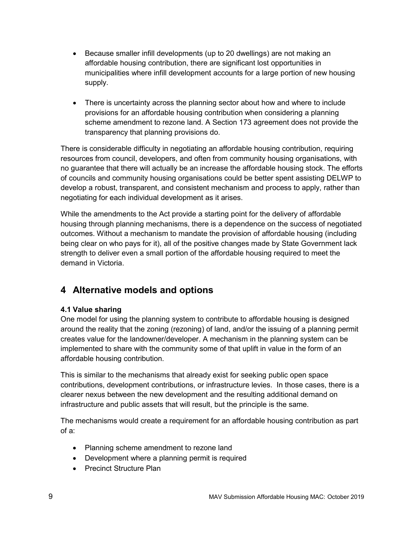- Because smaller infill developments (up to 20 dwellings) are not making an affordable housing contribution, there are significant lost opportunities in municipalities where infill development accounts for a large portion of new housing supply.
- There is uncertainty across the planning sector about how and where to include provisions for an affordable housing contribution when considering a planning scheme amendment to rezone land. A Section 173 agreement does not provide the transparency that planning provisions do.

There is considerable difficulty in negotiating an affordable housing contribution, requiring resources from council, developers, and often from community housing organisations, with no guarantee that there will actually be an increase the affordable housing stock. The efforts of councils and community housing organisations could be better spent assisting DELWP to develop a robust, transparent, and consistent mechanism and process to apply, rather than negotiating for each individual development as it arises.

While the amendments to the Act provide a starting point for the delivery of affordable housing through planning mechanisms, there is a dependence on the success of negotiated outcomes. Without a mechanism to mandate the provision of affordable housing (including being clear on who pays for it), all of the positive changes made by State Government lack strength to deliver even a small portion of the affordable housing required to meet the demand in Victoria.

# <span id="page-8-0"></span>**4 Alternative models and options**

#### <span id="page-8-1"></span>**4.1 Value sharing**

One model for using the planning system to contribute to affordable housing is designed around the reality that the zoning (rezoning) of land, and/or the issuing of a planning permit creates value for the landowner/developer. A mechanism in the planning system can be implemented to share with the community some of that uplift in value in the form of an affordable housing contribution.

This is similar to the mechanisms that already exist for seeking public open space contributions, development contributions, or infrastructure levies. In those cases, there is a clearer nexus between the new development and the resulting additional demand on infrastructure and public assets that will result, but the principle is the same.

The mechanisms would create a requirement for an affordable housing contribution as part of a:

- Planning scheme amendment to rezone land
- Development where a planning permit is required
- Precinct Structure Plan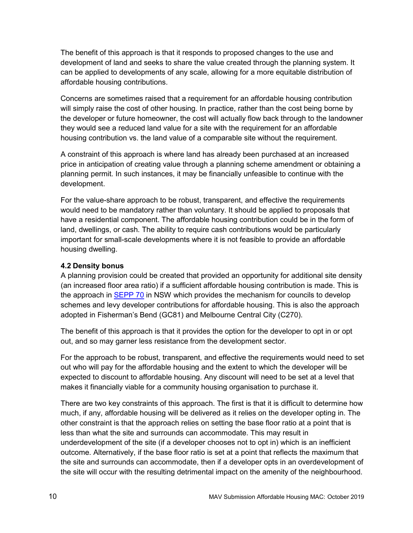The benefit of this approach is that it responds to proposed changes to the use and development of land and seeks to share the value created through the planning system. It can be applied to developments of any scale, allowing for a more equitable distribution of affordable housing contributions.

Concerns are sometimes raised that a requirement for an affordable housing contribution will simply raise the cost of other housing. In practice, rather than the cost being borne by the developer or future homeowner, the cost will actually flow back through to the landowner they would see a reduced land value for a site with the requirement for an affordable housing contribution vs. the land value of a comparable site without the requirement.

A constraint of this approach is where land has already been purchased at an increased price in anticipation of creating value through a planning scheme amendment or obtaining a planning permit. In such instances, it may be financially unfeasible to continue with the development.

For the value-share approach to be robust, transparent, and effective the requirements would need to be mandatory rather than voluntary. It should be applied to proposals that have a residential component. The affordable housing contribution could be in the form of land, dwellings, or cash. The ability to require cash contributions would be particularly important for small-scale developments where it is not feasible to provide an affordable housing dwelling.

#### <span id="page-9-0"></span>**4.2 Density bonus**

A planning provision could be created that provided an opportunity for additional site density (an increased floor area ratio) if a sufficient affordable housing contribution is made. This is the approach in [SEPP 70](https://www.planning.nsw.gov.au/-/media/Files/DPE/Guidelines/guideline-sepp70-developing-affordable-housing-contribution-scheme-2019-02-28.pdf?la=en) in NSW which provides the mechanism for councils to develop schemes and levy developer contributions for affordable housing. This is also the approach adopted in Fisherman's Bend (GC81) and Melbourne Central City (C270).

The benefit of this approach is that it provides the option for the developer to opt in or opt out, and so may garner less resistance from the development sector.

For the approach to be robust, transparent, and effective the requirements would need to set out who will pay for the affordable housing and the extent to which the developer will be expected to discount to affordable housing. Any discount will need to be set at a level that makes it financially viable for a community housing organisation to purchase it.

There are two key constraints of this approach. The first is that it is difficult to determine how much, if any, affordable housing will be delivered as it relies on the developer opting in. The other constraint is that the approach relies on setting the base floor ratio at a point that is less than what the site and surrounds can accommodate. This may result in underdevelopment of the site (if a developer chooses not to opt in) which is an inefficient outcome. Alternatively, if the base floor ratio is set at a point that reflects the maximum that the site and surrounds can accommodate, then if a developer opts in an overdevelopment of the site will occur with the resulting detrimental impact on the amenity of the neighbourhood.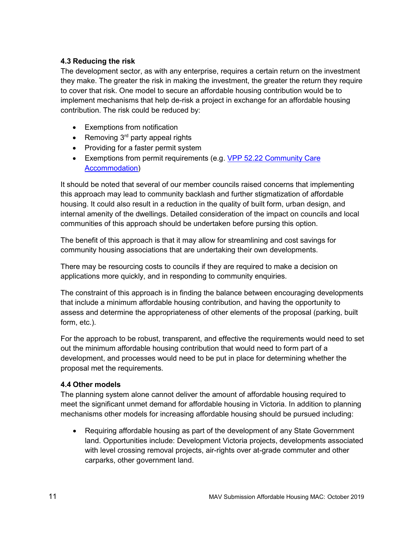#### <span id="page-10-0"></span>**4.3 Reducing the risk**

The development sector, as with any enterprise, requires a certain return on the investment they make. The greater the risk in making the investment, the greater the return they require to cover that risk. One model to secure an affordable housing contribution would be to implement mechanisms that help de-risk a project in exchange for an affordable housing contribution. The risk could be reduced by:

- Exemptions from notification
- Removing  $3<sup>rd</sup>$  party appeal rights
- Providing for a faster permit system
- Exemptions from permit requirements (e.g. VPP 52.22 Community Care [Accommodation\)](http://planning-schemes.delwp.vic.gov.au/schemes/vpps/52_22.pdf?_ga=2.215228567.148597774.1548733095-1334657687.1548733095)

It should be noted that several of our member councils raised concerns that implementing this approach may lead to community backlash and further stigmatization of affordable housing. It could also result in a reduction in the quality of built form, urban design, and internal amenity of the dwellings. Detailed consideration of the impact on councils and local communities of this approach should be undertaken before pursing this option.

The benefit of this approach is that it may allow for streamlining and cost savings for community housing associations that are undertaking their own developments.

There may be resourcing costs to councils if they are required to make a decision on applications more quickly, and in responding to community enquiries.

The constraint of this approach is in finding the balance between encouraging developments that include a minimum affordable housing contribution, and having the opportunity to assess and determine the appropriateness of other elements of the proposal (parking, built form, etc.).

For the approach to be robust, transparent, and effective the requirements would need to set out the minimum affordable housing contribution that would need to form part of a development, and processes would need to be put in place for determining whether the proposal met the requirements.

#### <span id="page-10-1"></span>**4.4 Other models**

The planning system alone cannot deliver the amount of affordable housing required to meet the significant unmet demand for affordable housing in Victoria. In addition to planning mechanisms other models for increasing affordable housing should be pursued including:

• Requiring affordable housing as part of the development of any State Government land. Opportunities include: Development Victoria projects, developments associated with level crossing removal projects, air-rights over at-grade commuter and other carparks, other government land.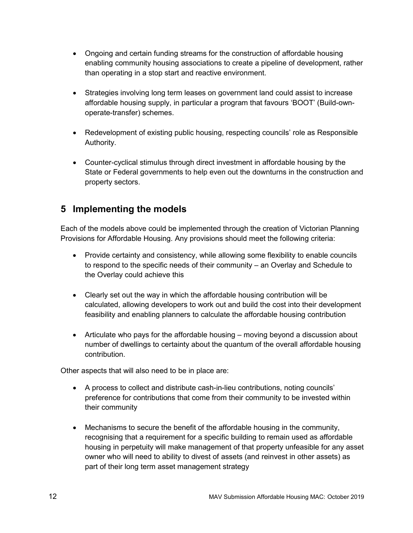- Ongoing and certain funding streams for the construction of affordable housing enabling community housing associations to create a pipeline of development, rather than operating in a stop start and reactive environment.
- Strategies involving long term leases on government land could assist to increase affordable housing supply, in particular a program that favours 'BOOT' (Build-ownoperate-transfer) schemes.
- Redevelopment of existing public housing, respecting councils' role as Responsible Authority.
- Counter-cyclical stimulus through direct investment in affordable housing by the State or Federal governments to help even out the downturns in the construction and property sectors.

# <span id="page-11-0"></span>**5 Implementing the models**

Each of the models above could be implemented through the creation of Victorian Planning Provisions for Affordable Housing. Any provisions should meet the following criteria:

- Provide certainty and consistency, while allowing some flexibility to enable councils to respond to the specific needs of their community – an Overlay and Schedule to the Overlay could achieve this
- Clearly set out the way in which the affordable housing contribution will be calculated, allowing developers to work out and build the cost into their development feasibility and enabling planners to calculate the affordable housing contribution
- Articulate who pays for the affordable housing moving beyond a discussion about number of dwellings to certainty about the quantum of the overall affordable housing contribution.

Other aspects that will also need to be in place are:

- A process to collect and distribute cash-in-lieu contributions, noting councils' preference for contributions that come from their community to be invested within their community
- Mechanisms to secure the benefit of the affordable housing in the community, recognising that a requirement for a specific building to remain used as affordable housing in perpetuity will make management of that property unfeasible for any asset owner who will need to ability to divest of assets (and reinvest in other assets) as part of their long term asset management strategy